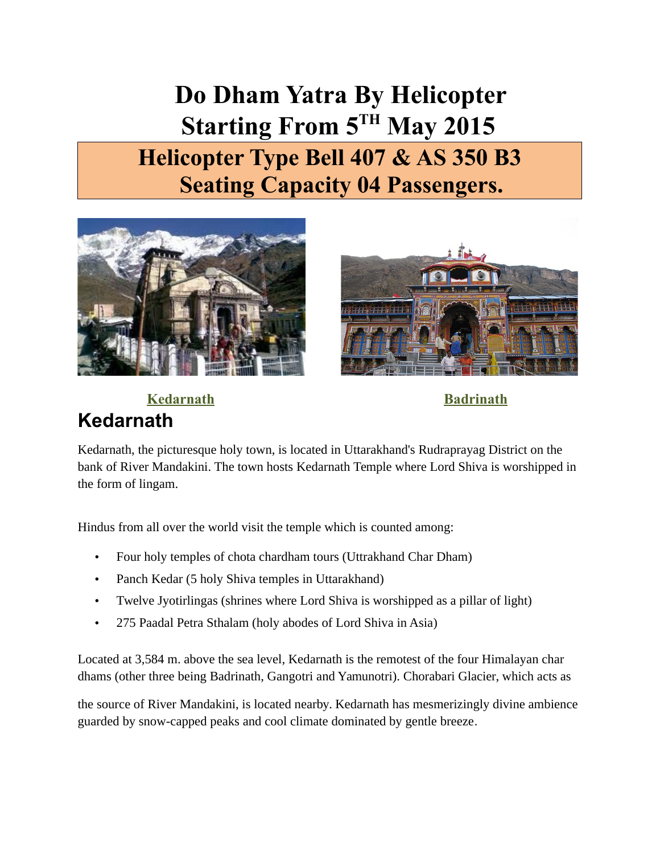**Do Dham Yatra By Helicopter Starting From 5TH May 2015 Helicopter Type Bell 407 & AS 350 B3 Seating Capacity 04 Passengers.**





**Kedarnath**

 **Kedarnath Badrinath**

Kedarnath, the picturesque holy town, is located in Uttarakhand's Rudraprayag District on the bank of River Mandakini. The town hosts Kedarnath Temple where Lord Shiva is worshipped in the form of lingam.

Hindus from all over the world visit the temple which is counted among:

- Four holy temples of chota chardham tours (Uttrakhand Char Dham)
- Panch Kedar (5 holy Shiva temples in Uttarakhand)
- Twelve Jyotirlingas (shrines where Lord Shiva is worshipped as a pillar of light)
- 275 Paadal Petra Sthalam (holy abodes of Lord Shiva in Asia)

Located at 3,584 m. above the sea level, Kedarnath is the remotest of the four Himalayan char dhams (other three being Badrinath, Gangotri and Yamunotri). Chorabari Glacier, which acts as

the source of River Mandakini, is located nearby. Kedarnath has mesmerizingly divine ambience guarded by snow-capped peaks and cool climate dominated by gentle breeze.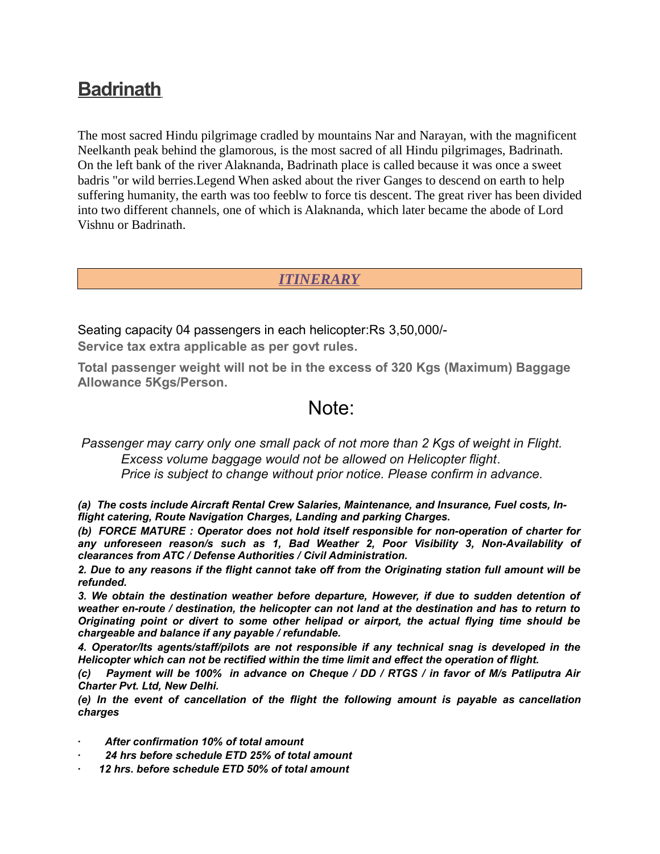## **[Badrinath](http://www.india-pilgrimage.org/Badrinath.aspx)**

The most sacred Hindu pilgrimage cradled by mountains Nar and Narayan, with the magnificent Neelkanth peak behind the glamorous, is the most sacred of all Hindu pilgrimages, Badrinath. On the left bank of the river Alaknanda, Badrinath place is called because it was once a sweet badris "or wild berries.Legend When asked about the river Ganges to descend on earth to help suffering humanity, the earth was too feeblw to force tis descent. The great river has been divided into two different channels, one of which is Alaknanda, which later became the abode of Lord Vishnu or Badrinath.

## *ITINERARY*

Seating capacity 04 passengers in each helicopter:Rs 3,50,000/- **Service tax extra applicable as per govt rules.**

**Total passenger weight will not be in the excess of 320 Kgs (Maximum) Baggage Allowance 5Kgs/Person.**

## Note:

*Passenger may carry only one small pack of not more than 2 Kgs of weight in Flight. Excess volume baggage would not be allowed on Helicopter flight*.  *Price is subject to change without prior notice. Please confirm in advance.*

*(a) The costs include Aircraft Rental Crew Salaries, Maintenance, and Insurance, Fuel costs, Inflight catering, Route Navigation Charges, Landing and parking Charges.*

*(b) FORCE MATURE : Operator does not hold itself responsible for non-operation of charter for any unforeseen reason/s such as 1, Bad Weather 2, Poor Visibility 3, Non-Availability of clearances from ATC / Defense Authorities / Civil Administration.*

*2. Due to any reasons if the flight cannot take off from the Originating station full amount will be refunded.*

*3. We obtain the destination weather before departure, However, if due to sudden detention of weather en-route / destination, the helicopter can not land at the destination and has to return to Originating point or divert to some other helipad or airport, the actual flying time should be chargeable and balance if any payable / refundable.*

*4. Operator/Its agents/staff/pilots are not responsible if any technical snag is developed in the Helicopter which can not be rectified within the time limit and effect the operation of flight.*

*(c) Payment will be 100% in advance on Cheque / DD / RTGS / in favor of M/s Patliputra Air Charter Pvt. Ltd, New Delhi.*

*(e) In the event of cancellation of the flight the following amount is payable as cancellation charges*

- *· After confirmation 10% of total amount*
- *· 24 hrs before schedule ETD 25% of total amount*
- *· 12 hrs. before schedule ETD 50% of total amount*